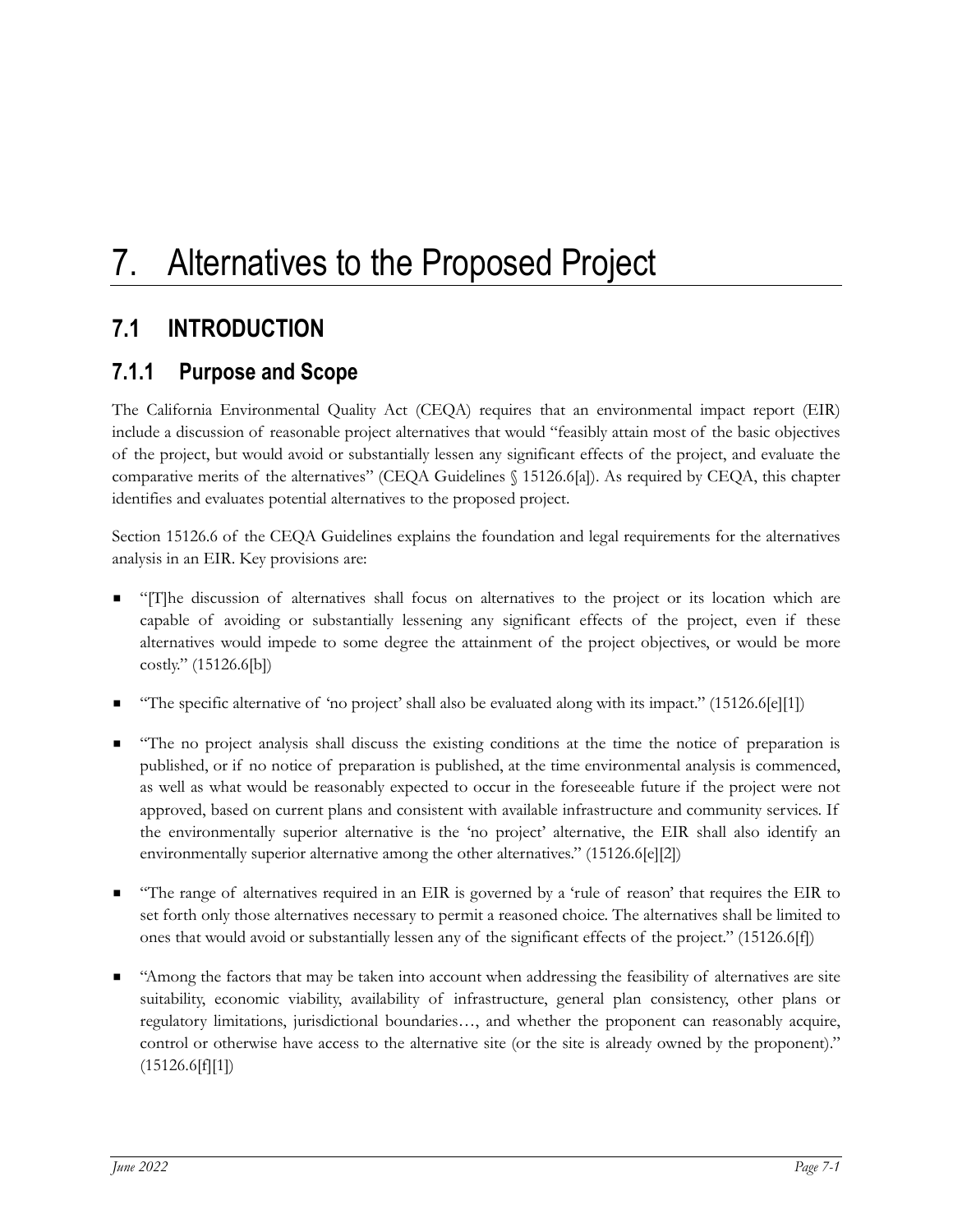# **7.1 INTRODUCTION**

## **7.1.1 Purpose and Scope**

The California Environmental Quality Act (CEQA) requires that an environmental impact report (EIR) include a discussion of reasonable project alternatives that would "feasibly attain most of the basic objectives of the project, but would avoid or substantially lessen any significant effects of the project, and evaluate the comparative merits of the alternatives" (CEQA Guidelines § 15126.6[a]). As required by CEQA, this chapter identifies and evaluates potential alternatives to the proposed project.

Section 15126.6 of the CEQA Guidelines explains the foundation and legal requirements for the alternatives analysis in an EIR. Key provisions are:

- "[T]he discussion of alternatives shall focus on alternatives to the project or its location which are capable of avoiding or substantially lessening any significant effects of the project, even if these alternatives would impede to some degree the attainment of the project objectives, or would be more costly." (15126.6[b])
- "The specific alternative of 'no project' shall also be evaluated along with its impact." (15126.6[e][1])
- "The no project analysis shall discuss the existing conditions at the time the notice of preparation is published, or if no notice of preparation is published, at the time environmental analysis is commenced, as well as what would be reasonably expected to occur in the foreseeable future if the project were not approved, based on current plans and consistent with available infrastructure and community services. If the environmentally superior alternative is the 'no project' alternative, the EIR shall also identify an environmentally superior alternative among the other alternatives." (15126.6[e][2])
- "The range of alternatives required in an EIR is governed by a 'rule of reason' that requires the EIR to set forth only those alternatives necessary to permit a reasoned choice. The alternatives shall be limited to ones that would avoid or substantially lessen any of the significant effects of the project." (15126.6[f])
- "Among the factors that may be taken into account when addressing the feasibility of alternatives are site suitability, economic viability, availability of infrastructure, general plan consistency, other plans or regulatory limitations, jurisdictional boundaries…, and whether the proponent can reasonably acquire, control or otherwise have access to the alternative site (or the site is already owned by the proponent)."  $(15126.6[f][1])$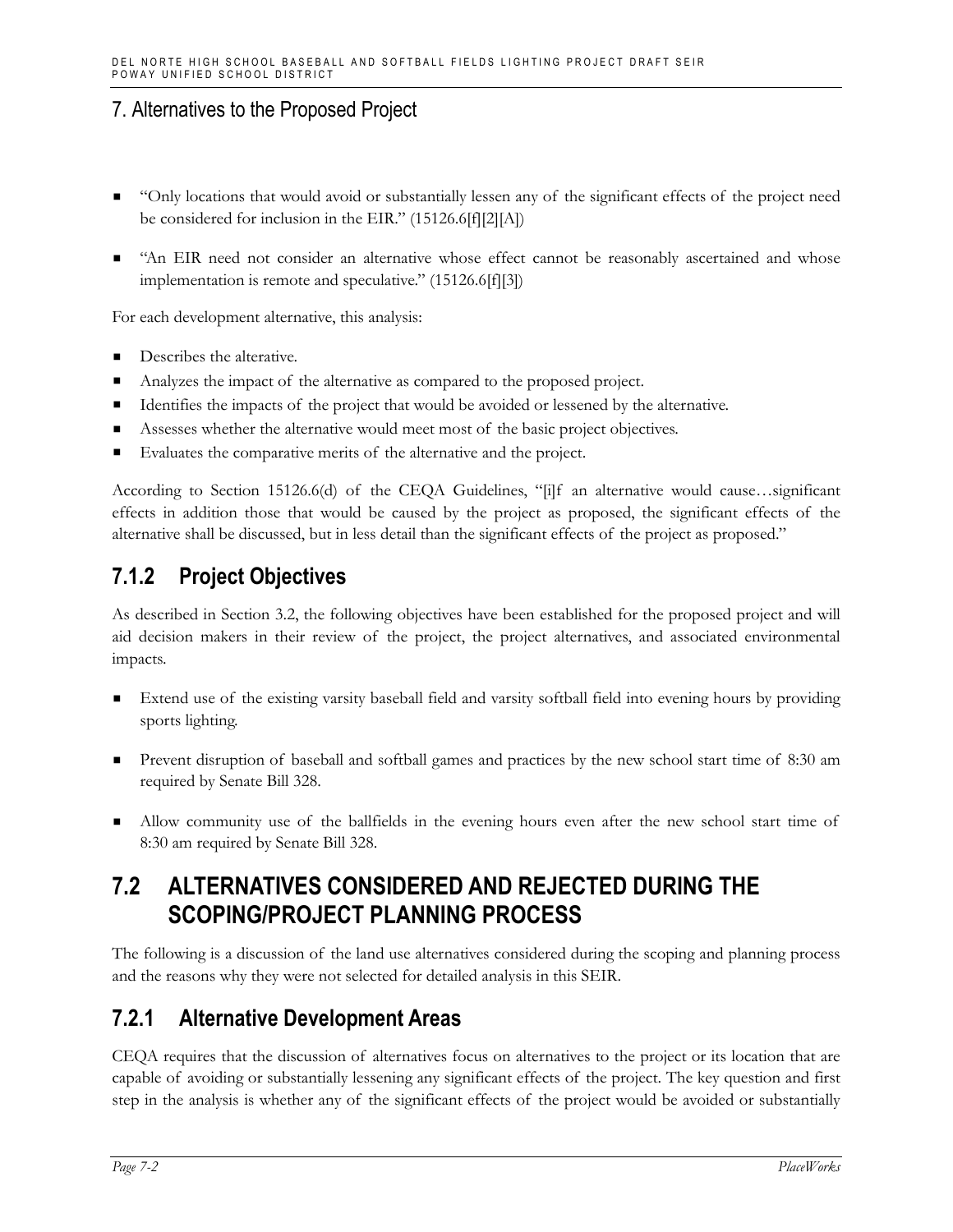- "Only locations that would avoid or substantially lessen any of the significant effects of the project need be considered for inclusion in the EIR." (15126.6[f][2][A])
- "An EIR need not consider an alternative whose effect cannot be reasonably ascertained and whose implementation is remote and speculative." (15126.6[f][3])

For each development alternative, this analysis:

- Describes the alterative.
- Analyzes the impact of the alternative as compared to the proposed project.
- Identifies the impacts of the project that would be avoided or lessened by the alternative.
- Assesses whether the alternative would meet most of the basic project objectives.
- Evaluates the comparative merits of the alternative and the project.

According to Section 15126.6(d) of the CEQA Guidelines, "[i]f an alternative would cause…significant effects in addition those that would be caused by the project as proposed, the significant effects of the alternative shall be discussed, but in less detail than the significant effects of the project as proposed."

## **7.1.2 Project Objectives**

As described in Section 3.2, the following objectives have been established for the proposed project and will aid decision makers in their review of the project, the project alternatives, and associated environmental impacts.

- Extend use of the existing varsity baseball field and varsity softball field into evening hours by providing sports lighting.
- Prevent disruption of baseball and softball games and practices by the new school start time of 8:30 am required by Senate Bill 328.
- Allow community use of the ballfields in the evening hours even after the new school start time of 8:30 am required by Senate Bill 328.

## **7.2 ALTERNATIVES CONSIDERED AND REJECTED DURING THE SCOPING/PROJECT PLANNING PROCESS**

The following is a discussion of the land use alternatives considered during the scoping and planning process and the reasons why they were not selected for detailed analysis in this SEIR.

## **7.2.1 Alternative Development Areas**

CEQA requires that the discussion of alternatives focus on alternatives to the project or its location that are capable of avoiding or substantially lessening any significant effects of the project. The key question and first step in the analysis is whether any of the significant effects of the project would be avoided or substantially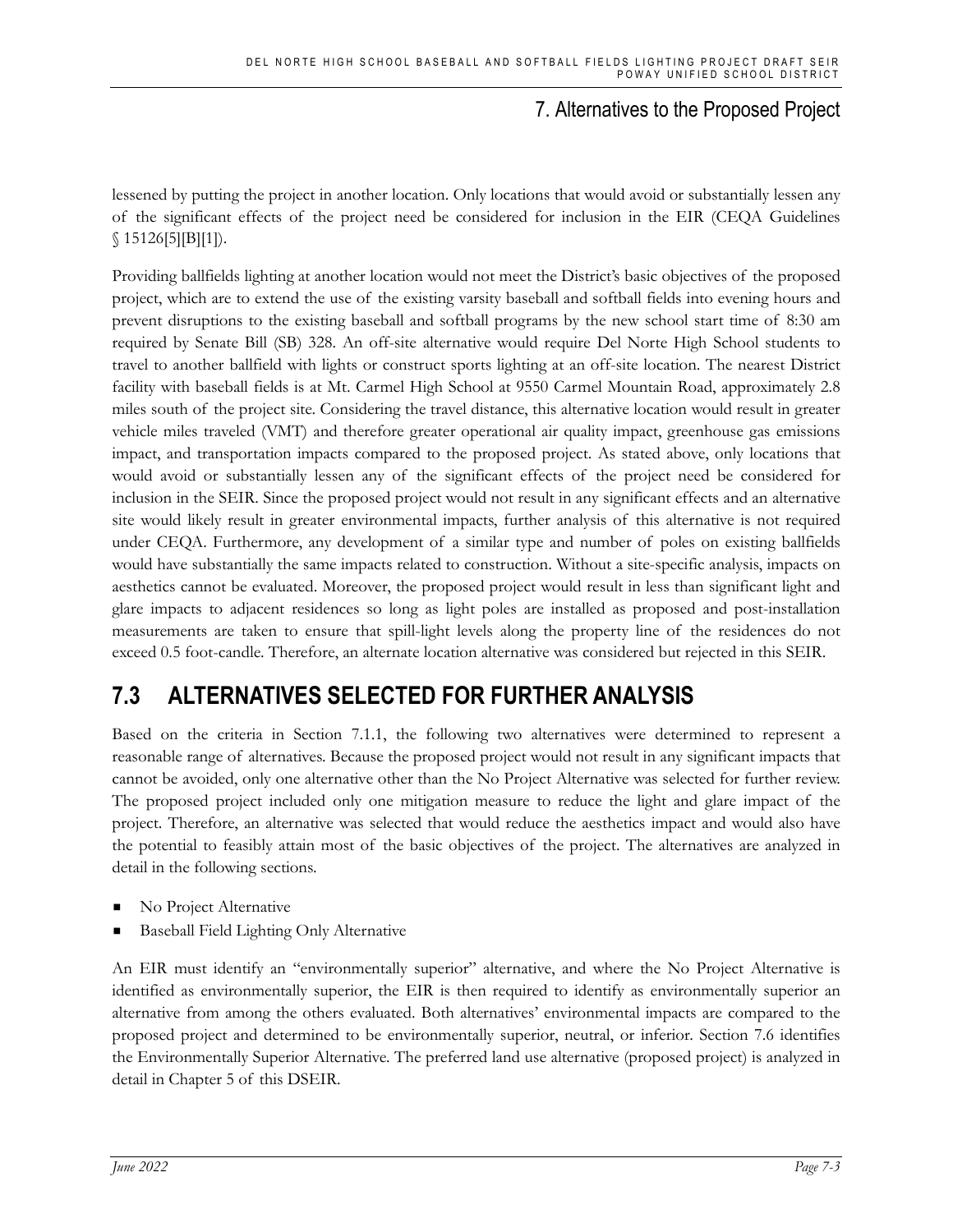lessened by putting the project in another location. Only locations that would avoid or substantially lessen any of the significant effects of the project need be considered for inclusion in the EIR (CEQA Guidelines  $$15126[5][B][1]$ ).

Providing ballfields lighting at another location would not meet the District's basic objectives of the proposed project, which are to extend the use of the existing varsity baseball and softball fields into evening hours and prevent disruptions to the existing baseball and softball programs by the new school start time of 8:30 am required by Senate Bill (SB) 328. An off-site alternative would require Del Norte High School students to travel to another ballfield with lights or construct sports lighting at an off-site location. The nearest District facility with baseball fields is at Mt. Carmel High School at 9550 Carmel Mountain Road, approximately 2.8 miles south of the project site. Considering the travel distance, this alternative location would result in greater vehicle miles traveled (VMT) and therefore greater operational air quality impact, greenhouse gas emissions impact, and transportation impacts compared to the proposed project. As stated above, only locations that would avoid or substantially lessen any of the significant effects of the project need be considered for inclusion in the SEIR. Since the proposed project would not result in any significant effects and an alternative site would likely result in greater environmental impacts, further analysis of this alternative is not required under CEQA. Furthermore, any development of a similar type and number of poles on existing ballfields would have substantially the same impacts related to construction. Without a site-specific analysis, impacts on aesthetics cannot be evaluated. Moreover, the proposed project would result in less than significant light and glare impacts to adjacent residences so long as light poles are installed as proposed and post-installation measurements are taken to ensure that spill-light levels along the property line of the residences do not exceed 0.5 foot-candle. Therefore, an alternate location alternative was considered but rejected in this SEIR.

# **7.3 ALTERNATIVES SELECTED FOR FURTHER ANALYSIS**

Based on the criteria in Section 7.1.1, the following two alternatives were determined to represent a reasonable range of alternatives. Because the proposed project would not result in any significant impacts that cannot be avoided, only one alternative other than the No Project Alternative was selected for further review. The proposed project included only one mitigation measure to reduce the light and glare impact of the project. Therefore, an alternative was selected that would reduce the aesthetics impact and would also have the potential to feasibly attain most of the basic objectives of the project. The alternatives are analyzed in detail in the following sections.

- No Project Alternative
- Baseball Field Lighting Only Alternative

An EIR must identify an "environmentally superior" alternative, and where the No Project Alternative is identified as environmentally superior, the EIR is then required to identify as environmentally superior an alternative from among the others evaluated. Both alternatives' environmental impacts are compared to the proposed project and determined to be environmentally superior, neutral, or inferior. Section 7.6 identifies the Environmentally Superior Alternative. The preferred land use alternative (proposed project) is analyzed in detail in Chapter 5 of this DSEIR.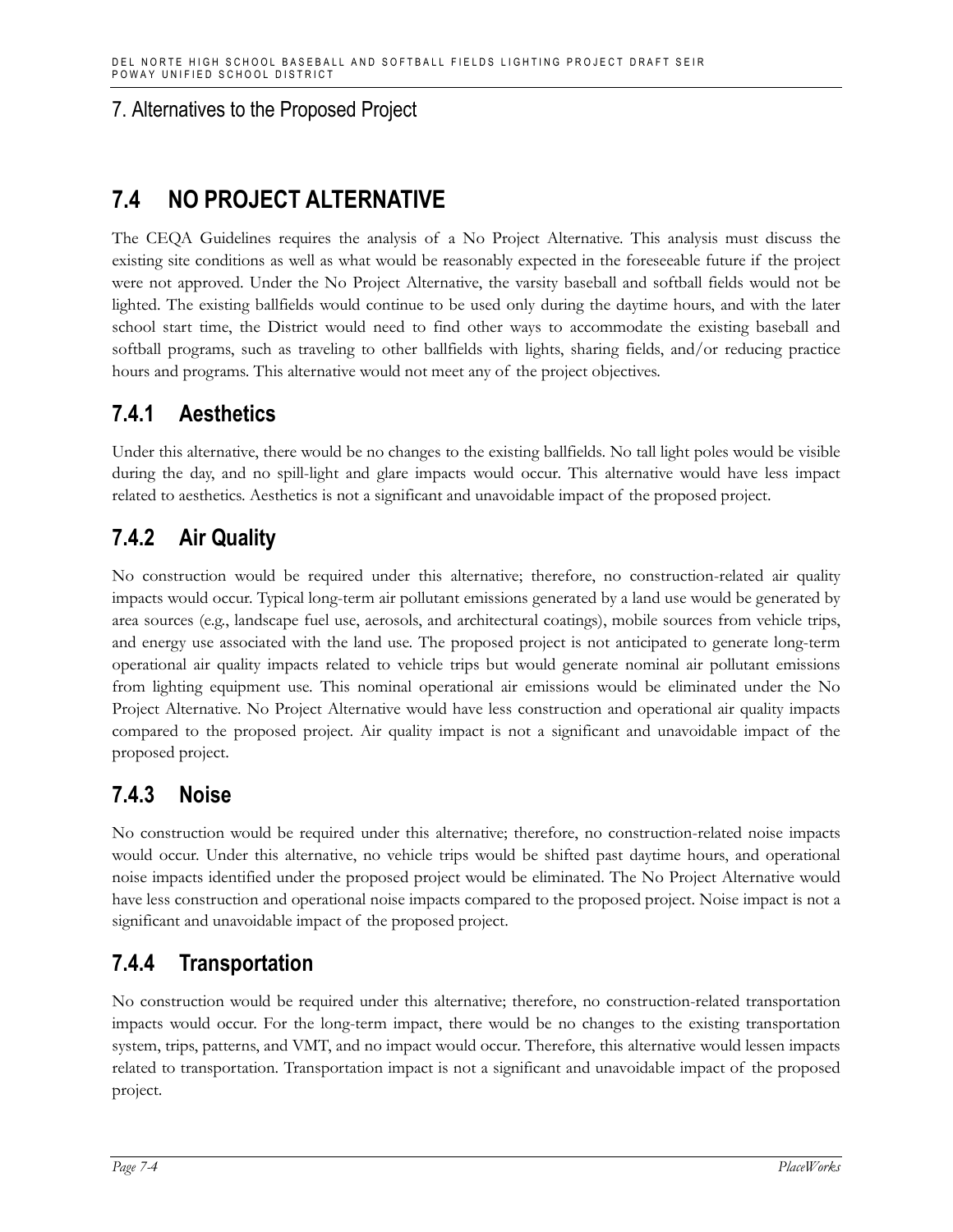# **7.4 NO PROJECT ALTERNATIVE**

The CEQA Guidelines requires the analysis of a No Project Alternative. This analysis must discuss the existing site conditions as well as what would be reasonably expected in the foreseeable future if the project were not approved. Under the No Project Alternative, the varsity baseball and softball fields would not be lighted. The existing ballfields would continue to be used only during the daytime hours, and with the later school start time, the District would need to find other ways to accommodate the existing baseball and softball programs, such as traveling to other ballfields with lights, sharing fields, and/or reducing practice hours and programs. This alternative would not meet any of the project objectives.

## **7.4.1 Aesthetics**

Under this alternative, there would be no changes to the existing ballfields. No tall light poles would be visible during the day, and no spill-light and glare impacts would occur. This alternative would have less impact related to aesthetics. Aesthetics is not a significant and unavoidable impact of the proposed project.

# **7.4.2 Air Quality**

No construction would be required under this alternative; therefore, no construction-related air quality impacts would occur. Typical long-term air pollutant emissions generated by a land use would be generated by area sources (e.g., landscape fuel use, aerosols, and architectural coatings), mobile sources from vehicle trips, and energy use associated with the land use. The proposed project is not anticipated to generate long-term operational air quality impacts related to vehicle trips but would generate nominal air pollutant emissions from lighting equipment use. This nominal operational air emissions would be eliminated under the No Project Alternative. No Project Alternative would have less construction and operational air quality impacts compared to the proposed project. Air quality impact is not a significant and unavoidable impact of the proposed project.

## **7.4.3 Noise**

No construction would be required under this alternative; therefore, no construction-related noise impacts would occur. Under this alternative, no vehicle trips would be shifted past daytime hours, and operational noise impacts identified under the proposed project would be eliminated. The No Project Alternative would have less construction and operational noise impacts compared to the proposed project. Noise impact is not a significant and unavoidable impact of the proposed project.

## **7.4.4 Transportation**

No construction would be required under this alternative; therefore, no construction-related transportation impacts would occur. For the long-term impact, there would be no changes to the existing transportation system, trips, patterns, and VMT, and no impact would occur. Therefore, this alternative would lessen impacts related to transportation. Transportation impact is not a significant and unavoidable impact of the proposed project.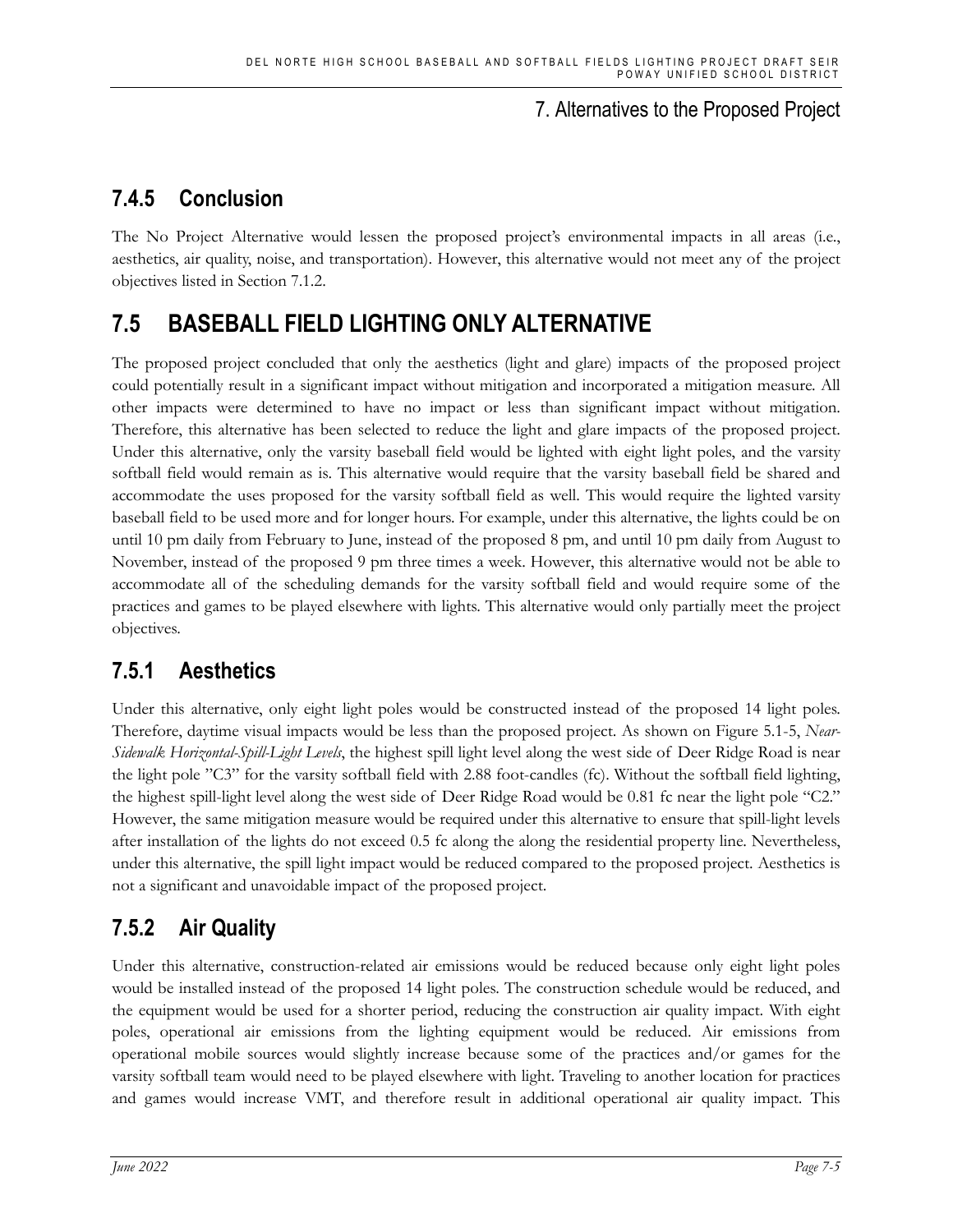# **7.4.5 Conclusion**

The No Project Alternative would lessen the proposed project's environmental impacts in all areas (i.e., aesthetics, air quality, noise, and transportation). However, this alternative would not meet any of the project objectives listed in Section 7.1.2.

# **7.5 BASEBALL FIELD LIGHTING ONLY ALTERNATIVE**

The proposed project concluded that only the aesthetics (light and glare) impacts of the proposed project could potentially result in a significant impact without mitigation and incorporated a mitigation measure. All other impacts were determined to have no impact or less than significant impact without mitigation. Therefore, this alternative has been selected to reduce the light and glare impacts of the proposed project. Under this alternative, only the varsity baseball field would be lighted with eight light poles, and the varsity softball field would remain as is. This alternative would require that the varsity baseball field be shared and accommodate the uses proposed for the varsity softball field as well. This would require the lighted varsity baseball field to be used more and for longer hours. For example, under this alternative, the lights could be on until 10 pm daily from February to June, instead of the proposed 8 pm, and until 10 pm daily from August to November, instead of the proposed 9 pm three times a week. However, this alternative would not be able to accommodate all of the scheduling demands for the varsity softball field and would require some of the practices and games to be played elsewhere with lights. This alternative would only partially meet the project objectives.

## **7.5.1 Aesthetics**

Under this alternative, only eight light poles would be constructed instead of the proposed 14 light poles. Therefore, daytime visual impacts would be less than the proposed project. As shown on Figure 5.1-5, *Near-Sidewalk Horizontal-Spill-Light Levels*, the highest spill light level along the west side of Deer Ridge Road is near the light pole "C3" for the varsity softball field with 2.88 foot-candles (fc). Without the softball field lighting, the highest spill-light level along the west side of Deer Ridge Road would be 0.81 fc near the light pole "C2." However, the same mitigation measure would be required under this alternative to ensure that spill-light levels after installation of the lights do not exceed 0.5 fc along the along the residential property line. Nevertheless, under this alternative, the spill light impact would be reduced compared to the proposed project. Aesthetics is not a significant and unavoidable impact of the proposed project.

# **7.5.2 Air Quality**

Under this alternative, construction-related air emissions would be reduced because only eight light poles would be installed instead of the proposed 14 light poles. The construction schedule would be reduced, and the equipment would be used for a shorter period, reducing the construction air quality impact. With eight poles, operational air emissions from the lighting equipment would be reduced. Air emissions from operational mobile sources would slightly increase because some of the practices and/or games for the varsity softball team would need to be played elsewhere with light. Traveling to another location for practices and games would increase VMT, and therefore result in additional operational air quality impact. This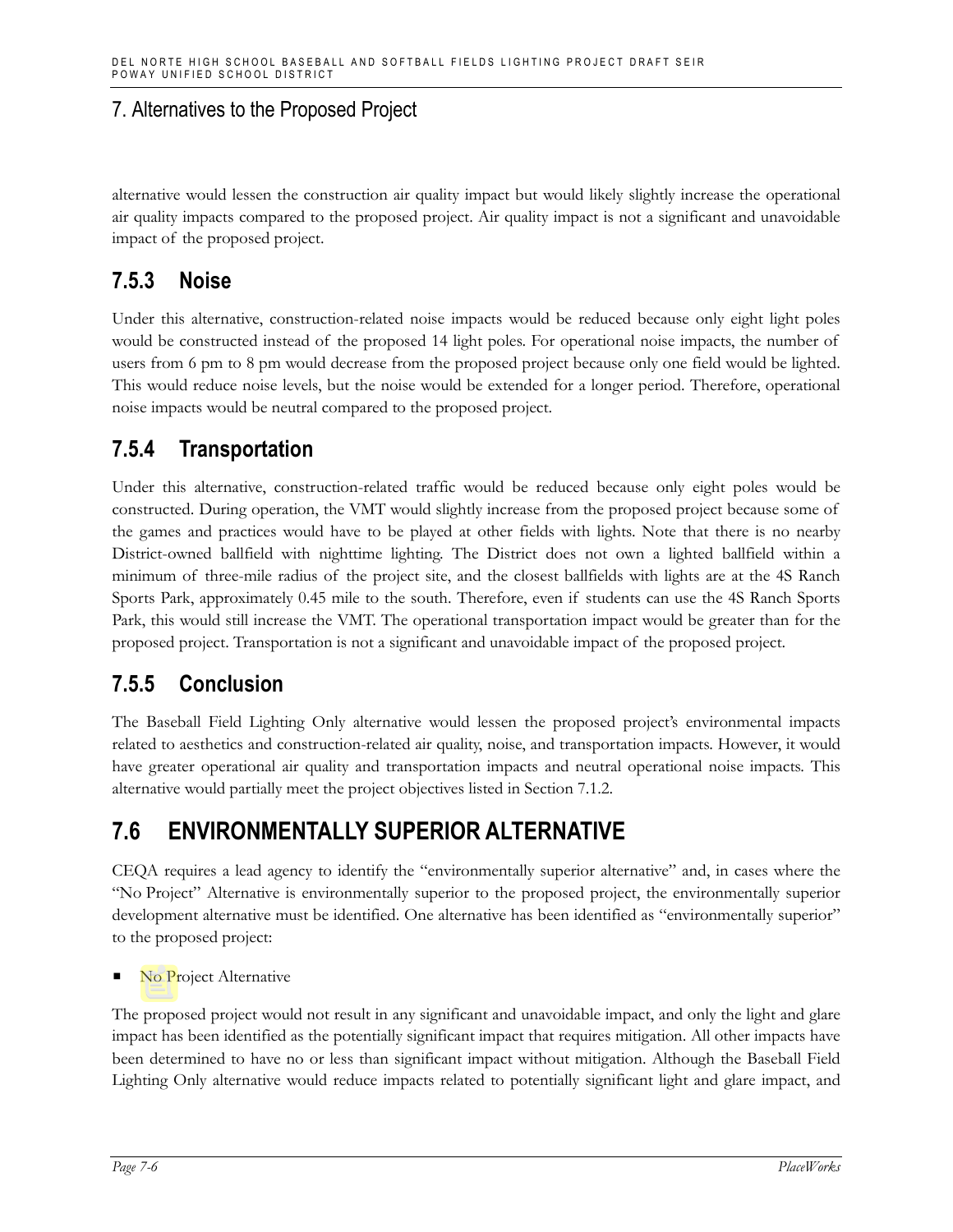alternative would lessen the construction air quality impact but would likely slightly increase the operational air quality impacts compared to the proposed project. Air quality impact is not a significant and unavoidable impact of the proposed project.

## **7.5.3 Noise**

Under this alternative, construction-related noise impacts would be reduced because only eight light poles would be constructed instead of the proposed 14 light poles. For operational noise impacts, the number of users from 6 pm to 8 pm would decrease from the proposed project because only one field would be lighted. This would reduce noise levels, but the noise would be extended for a longer period. Therefore, operational noise impacts would be neutral compared to the proposed project.

## **7.5.4 Transportation**

Under this alternative, construction-related traffic would be reduced because only eight poles would be constructed. During operation, the VMT would slightly increase from the proposed project because some of the games and practices would have to be played at other fields with lights. Note that there is no nearby District-owned ballfield with nighttime lighting. The District does not own a lighted ballfield within a minimum of three-mile radius of the project site, and the closest ballfields with lights are at the 4S Ranch Sports Park, approximately 0.45 mile to the south. Therefore, even if students can use the 4S Ranch Sports Park, this would still increase the VMT. The operational transportation impact would be greater than for the proposed project. Transportation is not a significant and unavoidable impact of the proposed project.

## **7.5.5 Conclusion**

The Baseball Field Lighting Only alternative would lessen the proposed project's environmental impacts related to aesthetics and construction-related air quality, noise, and transportation impacts. However, it would have greater operational air quality and transportation impacts and neutral operational noise impacts. This alternative would partially meet the project objectives listed in Section 7.1.2.

# **7.6 ENVIRONMENTALLY SUPERIOR ALTERNATIVE**

CEQA requires a lead agency to identify the "environmentally superior alternative" and, in cases where the "No Project" Alternative is environmentally superior to the proposed project, the environmentally superior development alternative must be identified. One alternative has been identified as "environmentally superior" to the proposed project:

No Project Alternative

The proposed project would not result in any significant and unavoidable impact, and only the light and glare impact has been identified as the potentially significant impact that requires mitigation. All other impacts have been determined to have no or less than significant impact without mitigation. Although the Baseball Field Lighting Only alternative would reduce impacts related to potentially significant light and glare impact, and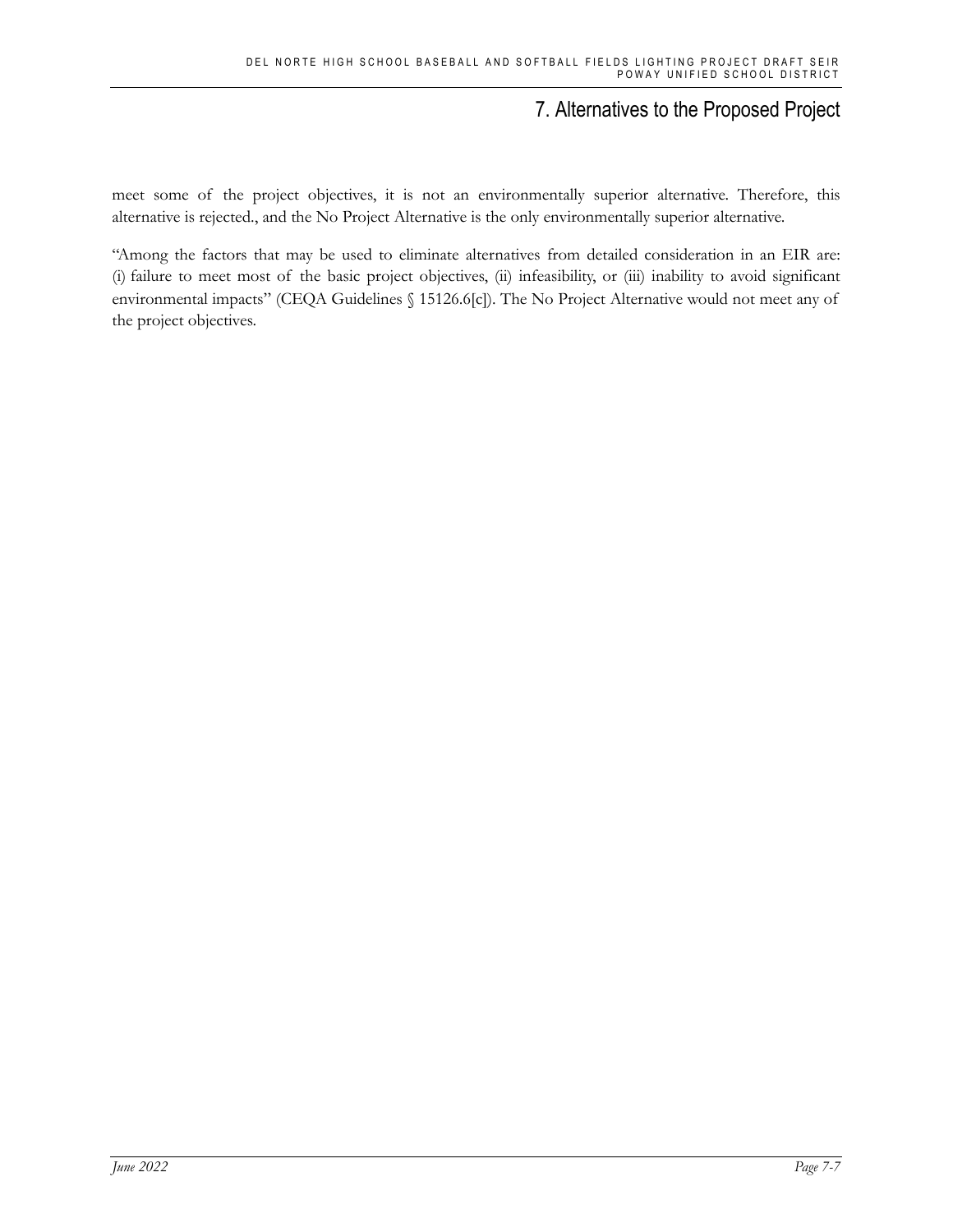meet some of the project objectives, it is not an environmentally superior alternative. Therefore, this alternative is rejected., and the No Project Alternative is the only environmentally superior alternative.

"Among the factors that may be used to eliminate alternatives from detailed consideration in an EIR are: (i) failure to meet most of the basic project objectives, (ii) infeasibility, or (iii) inability to avoid significant environmental impacts" (CEQA Guidelines § 15126.6[c]). The No Project Alternative would not meet any of the project objectives.